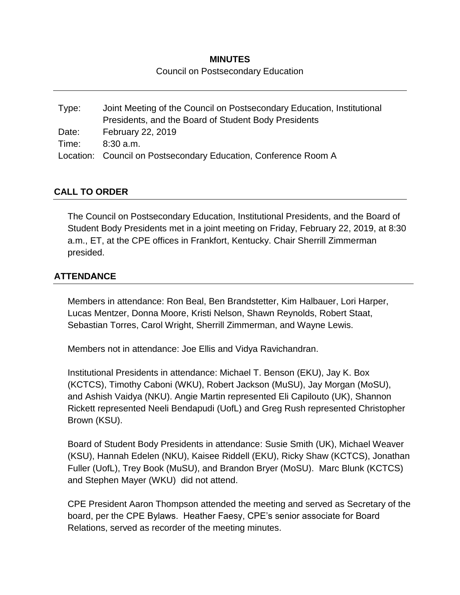## **MINUTES**

Council on Postsecondary Education

Type: Joint Meeting of the Council on Postsecondary Education, Institutional Presidents, and the Board of Student Body Presidents Date: February 22, 2019 Time: 8:30 a.m. Location: Council on Postsecondary Education, Conference Room A

# **CALL TO ORDER**

The Council on Postsecondary Education, Institutional Presidents, and the Board of Student Body Presidents met in a joint meeting on Friday, February 22, 2019, at 8:30 a.m., ET, at the CPE offices in Frankfort, Kentucky. Chair Sherrill Zimmerman presided.

# **ATTENDANCE**

Members in attendance: Ron Beal, Ben Brandstetter, Kim Halbauer, Lori Harper, Lucas Mentzer, Donna Moore, Kristi Nelson, Shawn Reynolds, Robert Staat, Sebastian Torres, Carol Wright, Sherrill Zimmerman, and Wayne Lewis.

Members not in attendance: Joe Ellis and Vidya Ravichandran.

Institutional Presidents in attendance: Michael T. Benson (EKU), Jay K. Box (KCTCS), Timothy Caboni (WKU), Robert Jackson (MuSU), Jay Morgan (MoSU), and Ashish Vaidya (NKU). Angie Martin represented Eli Capilouto (UK), Shannon Rickett represented Neeli Bendapudi (UofL) and Greg Rush represented Christopher Brown (KSU).

Board of Student Body Presidents in attendance: Susie Smith (UK), Michael Weaver (KSU), Hannah Edelen (NKU), Kaisee Riddell (EKU), Ricky Shaw (KCTCS), Jonathan Fuller (UofL), Trey Book (MuSU), and Brandon Bryer (MoSU). Marc Blunk (KCTCS) and Stephen Mayer (WKU) did not attend.

CPE President Aaron Thompson attended the meeting and served as Secretary of the board, per the CPE Bylaws. Heather Faesy, CPE's senior associate for Board Relations, served as recorder of the meeting minutes.